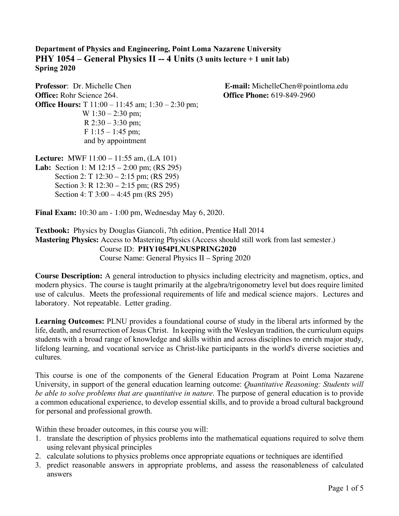**Department of Physics and Engineering, Point Loma Nazarene University PHY 1054 – General Physics II -- 4 Units (3 units lecture + 1 unit lab) Spring 2020**

**Professor**: Dr. Michelle Chen **E-mail:** MichelleChen@pointloma.edu **Office:** Rohr Science 264. **Office Phone:** 619-849-2960 **Office Hours:** T 11:00 – 11:45 am; 1:30 – 2:30 pm; W  $1:30 - 2:30$  pm; R  $2:30 - 3:30$  pm; F  $1:15 - 1:45$  pm; and by appointment

**Lecture:** MWF 11:00 – 11:55 am, (LA 101) **Lab:** Section 1: M 12:15 – 2:00 pm; (RS 295) Section 2: T 12:30 – 2:15 pm; (RS 295) Section 3: R 12:30 – 2:15 pm; (RS 295) Section 4: T 3:00 – 4:45 pm (RS 295)

**Final Exam:** 10:30 am - 1:00 pm, Wednesday May 6, 2020.

**Textbook:** Physics by Douglas Giancoli, 7th edition, Prentice Hall 2014 **Mastering Physics:** Access to Mastering Physics (Access should still work from last semester.) Course ID: **PHY1054PLNUSPRING2020** Course Name: General Physics II – Spring 2020

**Course Description:** A general introduction to physics including electricity and magnetism, optics, and modern physics. The course is taught primarily at the algebra/trigonometry level but does require limited use of calculus. Meets the professional requirements of life and medical science majors. Lectures and laboratory. Not repeatable. Letter grading.

**Learning Outcomes:** PLNU provides a foundational course of study in the liberal arts informed by the life, death, and resurrection of Jesus Christ. In keeping with the Wesleyan tradition, the curriculum equips students with a broad range of knowledge and skills within and across disciplines to enrich major study, lifelong learning, and vocational service as Christ-like participants in the world's diverse societies and cultures.

This course is one of the components of the General Education Program at Point Loma Nazarene University, in support of the general education learning outcome: *Quantitative Reasoning: Students will be able to solve problems that are quantitative in nature*. The purpose of general education is to provide a common educational experience, to develop essential skills, and to provide a broad cultural background for personal and professional growth.

Within these broader outcomes, in this course you will:

- 1. translate the description of physics problems into the mathematical equations required to solve them using relevant physical principles
- 2. calculate solutions to physics problems once appropriate equations or techniques are identified
- 3. predict reasonable answers in appropriate problems, and assess the reasonableness of calculated answers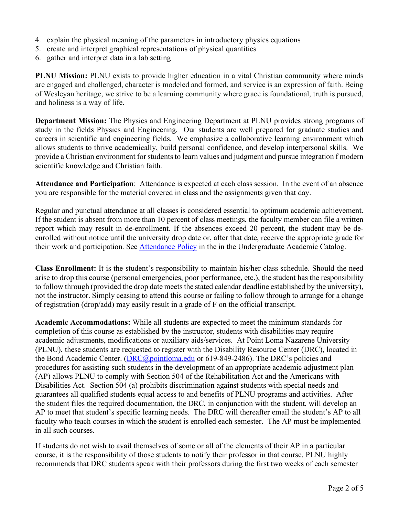- 4. explain the physical meaning of the parameters in introductory physics equations
- 5. create and interpret graphical representations of physical quantities
- 6. gather and interpret data in a lab setting

**PLNU Mission:** PLNU exists to provide higher education in a vital Christian community where minds are engaged and challenged, character is modeled and formed, and service is an expression of faith. Being of Wesleyan heritage, we strive to be a learning community where grace is foundational, truth is pursued, and holiness is a way of life.

**Department Mission:** The Physics and Engineering Department at PLNU provides strong programs of study in the fields Physics and Engineering. Our students are well prepared for graduate studies and careers in scientific and engineering fields. We emphasize a collaborative learning environment which allows students to thrive academically, build personal confidence, and develop interpersonal skills. We provide a Christian environment for students to learn values and judgment and pursue integration f modern scientific knowledge and Christian faith.

**Attendance and Participation**: Attendance is expected at each class session. In the event of an absence you are responsible for the material covered in class and the assignments given that day.

Regular and punctual attendance at all classes is considered essential to optimum academic achievement. If the student is absent from more than 10 percent of class meetings, the faculty member can file a written report which may result in de-enrollment. If the absences exceed 20 percent, the student may be deenrolled without notice until the university drop date or, after that date, receive the appropriate grade for their work and participation. See *Attendance Policy* in the in the Undergraduate Academic Catalog.

**Class Enrollment:** It is the student's responsibility to maintain his/her class schedule. Should the need arise to drop this course (personal emergencies, poor performance, etc.), the student has the responsibility to follow through (provided the drop date meets the stated calendar deadline established by the university), not the instructor. Simply ceasing to attend this course or failing to follow through to arrange for a change of registration (drop/add) may easily result in a grade of F on the official transcript.

**Academic Accommodations:** While all students are expected to meet the minimum standards for completion of this course as established by the instructor, students with disabilities may require academic adjustments, modifications or auxiliary aids/services. At Point Loma Nazarene University (PLNU), these students are requested to register with the Disability Resource Center (DRC), located in the Bond Academic Center. (DRC@pointloma.edu or 619-849-2486). The DRC's policies and procedures for assisting such students in the development of an appropriate academic adjustment plan (AP) allows PLNU to comply with Section 504 of the Rehabilitation Act and the Americans with Disabilities Act. Section 504 (a) prohibits discrimination against students with special needs and guarantees all qualified students equal access to and benefits of PLNU programs and activities. After the student files the required documentation, the DRC, in conjunction with the student, will develop an AP to meet that student's specific learning needs. The DRC will thereafter email the student's AP to all faculty who teach courses in which the student is enrolled each semester. The AP must be implemented in all such courses.

If students do not wish to avail themselves of some or all of the elements of their AP in a particular course, it is the responsibility of those students to notify their professor in that course. PLNU highly recommends that DRC students speak with their professors during the first two weeks of each semester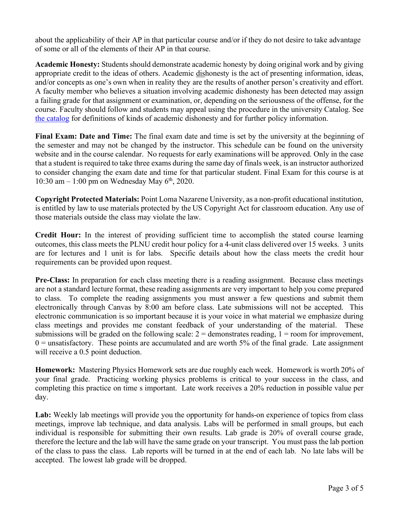about the applicability of their AP in that particular course and/or if they do not desire to take advantage of some or all of the elements of their AP in that course.

**Academic Honesty:** Students should demonstrate academic honesty by doing original work and by giving appropriate credit to the ideas of others. Academic dishonesty is the act of presenting information, ideas, and/or concepts as one's own when in reality they are the results of another person's creativity and effort. A faculty member who believes a situation involving academic dishonesty has been detected may assign a failing grade for that assignment or examination, or, depending on the seriousness of the offense, for the course. Faculty should follow and students may appeal using the procedure in the university Catalog. See the catalog for definitions of kinds of academic dishonesty and for further policy information.

**Final Exam: Date and Time:** The final exam date and time is set by the university at the beginning of the semester and may not be changed by the instructor. This schedule can be found on the university website and in the course calendar. No requests for early examinations will be approved. Only in the case that a student is required to take three exams during the same day of finals week, is an instructor authorized to consider changing the exam date and time for that particular student. Final Exam for this course is at 10:30 am  $-1:00$  pm on Wednesday May  $6<sup>th</sup>$ , 2020.

**Copyright Protected Materials:** Point Loma Nazarene University, as a non-profit educational institution, is entitled by law to use materials protected by the US Copyright Act for classroom education. Any use of those materials outside the class may violate the law.

**Credit Hour:** In the interest of providing sufficient time to accomplish the stated course learning outcomes, this class meets the PLNU credit hour policy for a 4-unit class delivered over 15 weeks. 3 units are for lectures and 1 unit is for labs. Specific details about how the class meets the credit hour requirements can be provided upon request.

**Pre-Class:** In preparation for each class meeting there is a reading assignment. Because class meetings are not a standard lecture format, these reading assignments are very important to help you come prepared to class. To complete the reading assignments you must answer a few questions and submit them electronically through Canvas by 8:00 am before class. Late submissions will not be accepted. This electronic communication is so important because it is your voice in what material we emphasize during class meetings and provides me constant feedback of your understanding of the material. These submissions will be graded on the following scale:  $2 =$  demonstrates reading,  $1 =$  room for improvement,  $0 =$  unsatisfactory. These points are accumulated and are worth 5% of the final grade. Late assignment will receive a 0.5 point deduction.

**Homework:** Mastering Physics Homework sets are due roughly each week. Homework is worth 20% of your final grade. Practicing working physics problems is critical to your success in the class, and completing this practice on time s important. Late work receives a 20% reduction in possible value per day.

Lab: Weekly lab meetings will provide you the opportunity for hands-on experience of topics from class meetings, improve lab technique, and data analysis. Labs will be performed in small groups, but each individual is responsible for submitting their own results. Lab grade is 20% of overall course grade, therefore the lecture and the lab will have the same grade on your transcript. You must pass the lab portion of the class to pass the class. Lab reports will be turned in at the end of each lab. No late labs will be accepted. The lowest lab grade will be dropped.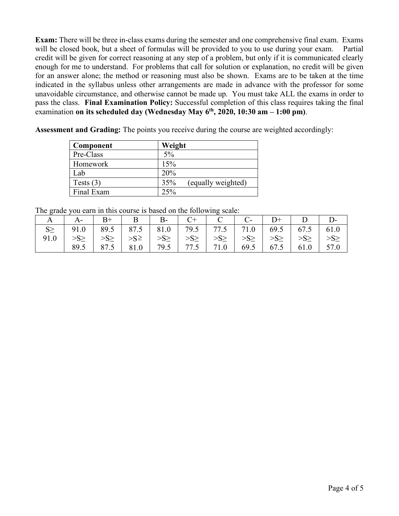**Exam:** There will be three in-class exams during the semester and one comprehensive final exam. Exams will be closed book, but a sheet of formulas will be provided to you to use during your exam. Partial credit will be given for correct reasoning at any step of a problem, but only if it is communicated clearly enough for me to understand. For problems that call for solution or explanation, no credit will be given for an answer alone; the method or reasoning must also be shown. Exams are to be taken at the time indicated in the syllabus unless other arrangements are made in advance with the professor for some unavoidable circumstance, and otherwise cannot be made up. You must take ALL the exams in order to pass the class. **Final Examination Policy:** Successful completion of this class requires taking the final examination **on its scheduled day (Wednesday May 6th, 2020, 10:30 am – 1:00 pm)**.

**Assessment and Grading:** The points you receive during the course are weighted accordingly:

| Component   | Weight                    |
|-------------|---------------------------|
| Pre-Class   | $5\%$                     |
| Homework    | 15%                       |
| Lab         | 20%                       |
| Tests $(3)$ | 35%<br>(equally weighted) |
| Final Exam  | 25%                       |

The grade you earn in this course is based on the following scale:

|                                                                                                                                                                                                                                                                                                        | $B+$ |  |  |  | $D^+$   $D$                                                         |  |
|--------------------------------------------------------------------------------------------------------------------------------------------------------------------------------------------------------------------------------------------------------------------------------------------------------|------|--|--|--|---------------------------------------------------------------------|--|
| 91.0   89.5   87.5   81.0   79.5   77.5   71.0   69.5   67.5   61.0                                                                                                                                                                                                                                    |      |  |  |  |                                                                     |  |
| 91.0 $\rightarrow$ S <sub>2</sub> $\rightarrow$ S <sub>2</sub> $\rightarrow$ S <sub>2</sub> $\rightarrow$ S <sub>2</sub> $\rightarrow$ S <sub>2</sub> $\rightarrow$ S <sub>2</sub> $\rightarrow$ S <sub>2</sub> $\rightarrow$ S <sub>2</sub> $\rightarrow$ S <sub>2</sub> $\rightarrow$ S <sub>2</sub> |      |  |  |  |                                                                     |  |
|                                                                                                                                                                                                                                                                                                        |      |  |  |  | 89.5   87.5   81.0   79.5   77.5   71.0   69.5   67.5   61.0   57.0 |  |